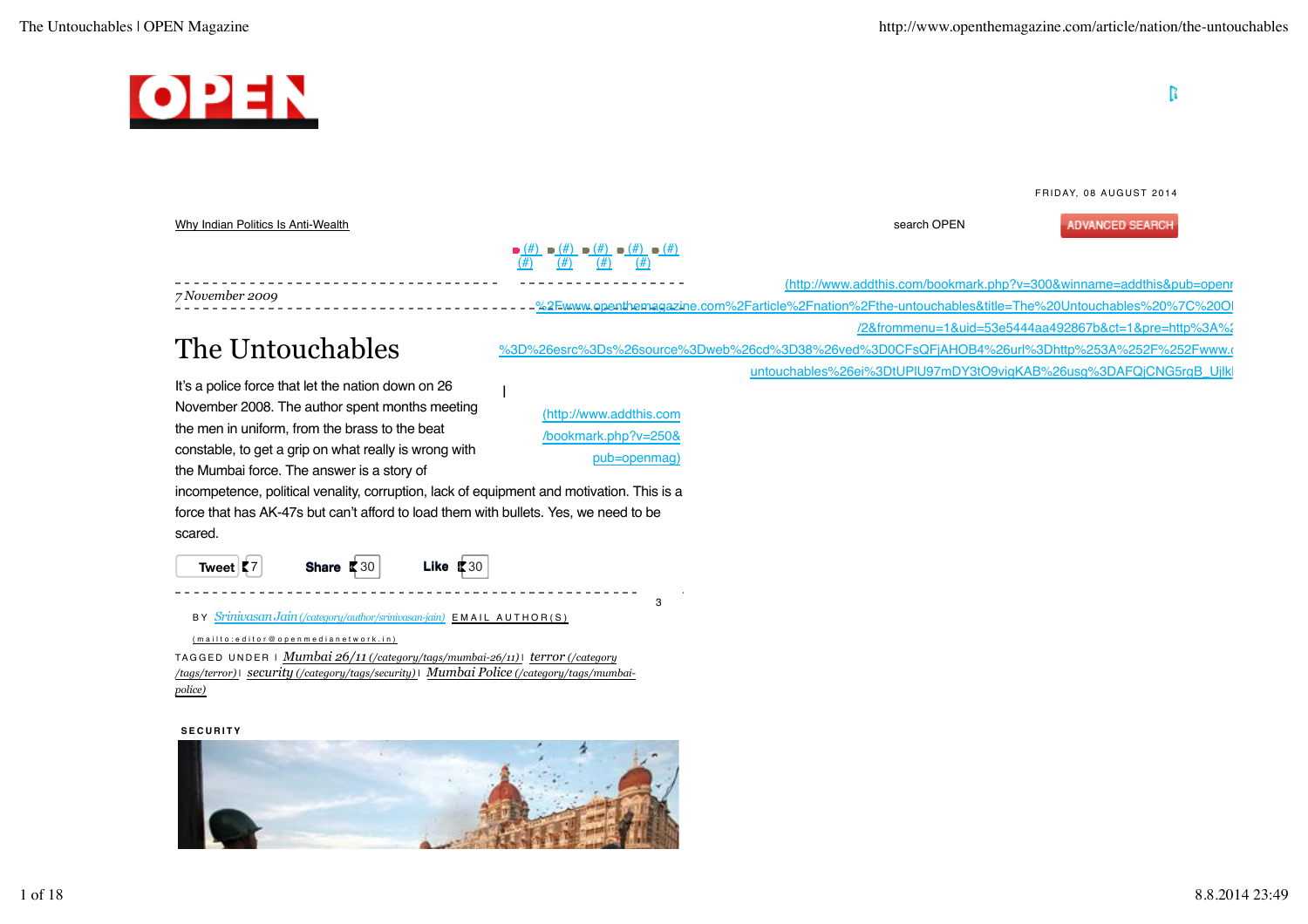

BY *Srinivasan Jain (/category/author/srinivasan-jain)*  EMAIL AUTHOR(S)

TAGGED UNDER | *Mumbai 26/11 (/category/tags/mumbai-26/11)* | *terror (/category /tags/terror)* | *security (/category/tags/security)* | *Mumbai Police (/category/tags/mumbaipolice)* ( mailto:editor@openmedianetwork.in )

### **SECURITY**

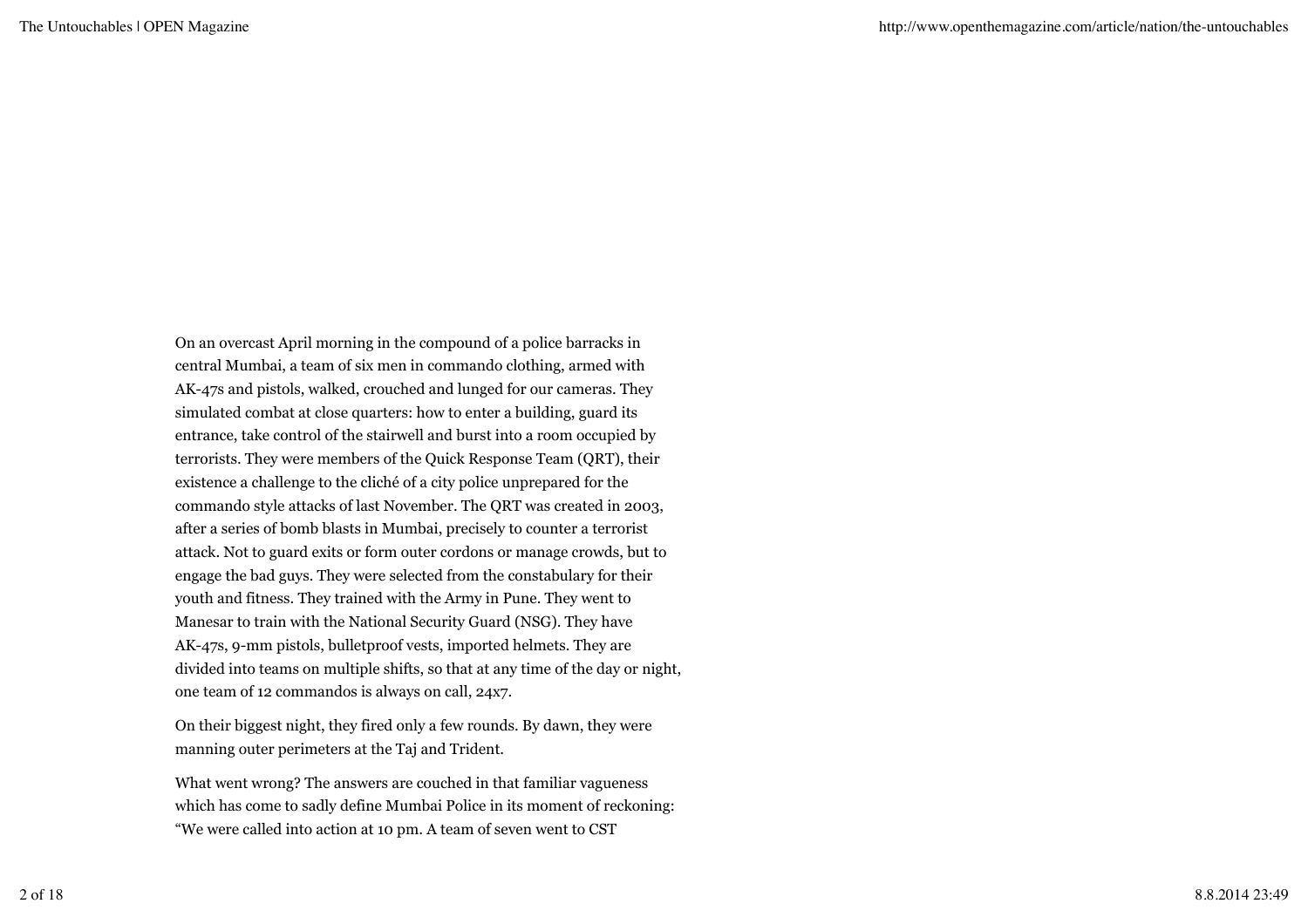On an overcast April morning in the compound of a police barracks in central Mumbai, a team of six men in commando clothing, armed with AK-47s and pistols, walked, crouched and lunged for our cameras. They simulated combat at close quarters: how to enter a building, guard its entrance, take control of the stairwell and burst into a room occupied by terrorists. They were members of the Quick Response Team (QRT), their existence a challenge to the cliché of a city police unprepared for the commando style attacks of last November. The QRT was created in 2003, after a series of bomb blasts in Mumbai, precisely to counter a terrorist attack. Not to guard exits or form outer cordons or manage crowds, but to engage the bad guys. They were selected from the constabulary for their youth and fitness. They trained with the Army in Pune. They went to Manesar to train with the National Security Guard (NSG). They have AK-47s, 9-mm pistols, bulletproof vests, imported helmets. They are divided into teams on multiple shifts, so that at any time of the day or night, one team of 12 commandos is always on call, 24x7.

On their biggest night, they fired only a few rounds. By dawn, they were manning outer perimeters at the Taj and Trident.

What went wrong? The answers are couched in that familiar vagueness which has come to sadly define Mumbai Police in its moment of reckoning: "We were called into action at 10 pm. A team of seven went to CST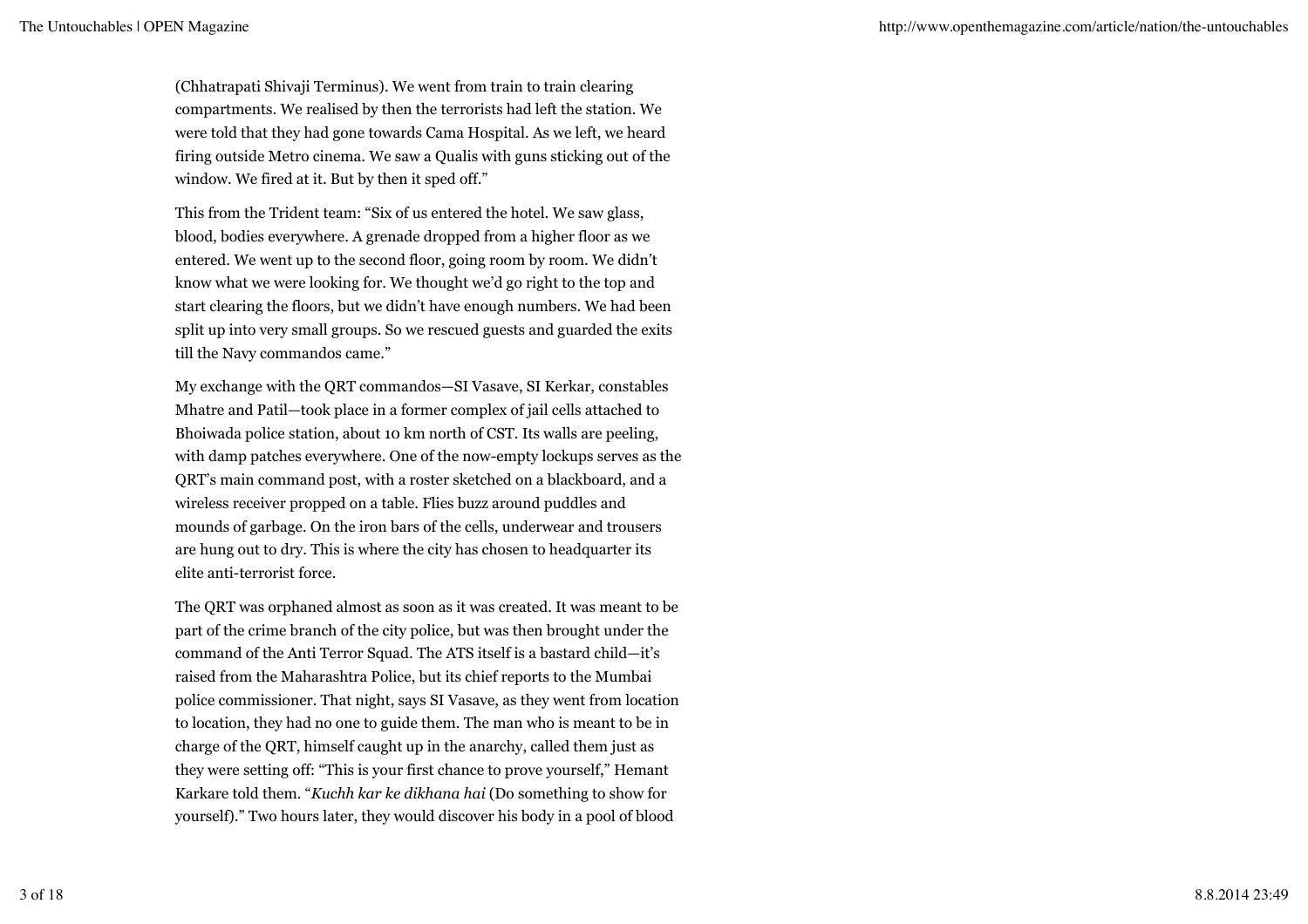(Chhatrapati Shivaji Terminus). We went from train to train clearing compartments. We realised by then the terrorists had left the station. We were told that they had gone towards Cama Hospital. As we left, we heard firing outside Metro cinema. We saw a Qualis with guns sticking out of the window. We fired at it. But by then it sped off."

This from the Trident team: "Six of us entered the hotel. We saw glass, blood, bodies everywhere. A grenade dropped from a higher floor as we entered. We went up to the second floor, going room by room. We didn't know what we were looking for. We thought we'd go right to the top and start clearing the floors, but we didn't have enough numbers. We had been split up into very small groups. So we rescued guests and guarded the exits till the Navy commandos came."

My exchange with the QRT commandos—SI Vasave, SI Kerkar, constables Mhatre and Patil—took place in a former complex of jail cells attached to Bhoiwada police station, about 10 km north of CST. Its walls are peeling, with damp patches everywhere. One of the now-empty lockups serves as the QRT's main command post, with a roster sketched on a blackboard, and a wireless receiver propped on a table. Flies buzz around puddles and mounds of garbage. On the iron bars of the cells, underwear and trousers are hung out to dry. This is where the city has chosen to headquarter its elite anti-terrorist force.

The QRT was orphaned almost as soon as it was created. It was meant to be part of the crime branch of the city police, but was then brought under the command of the Anti Terror Squad. The ATS itself is a bastard child—it's raised from the Maharashtra Police, but its chief reports to the Mumbai police commissioner. That night, says SI Vasave, as they went from location to location, they had no one to guide them. The man who is meant to be in charge of the QRT, himself caught up in the anarchy, called them just as they were setting off: "This is your first chance to prove yourself," Hemant Karkare told them. "*Kuchh kar ke dikhana hai* (Do something to show for yourself)." Two hours later, they would discover his body in a pool of blood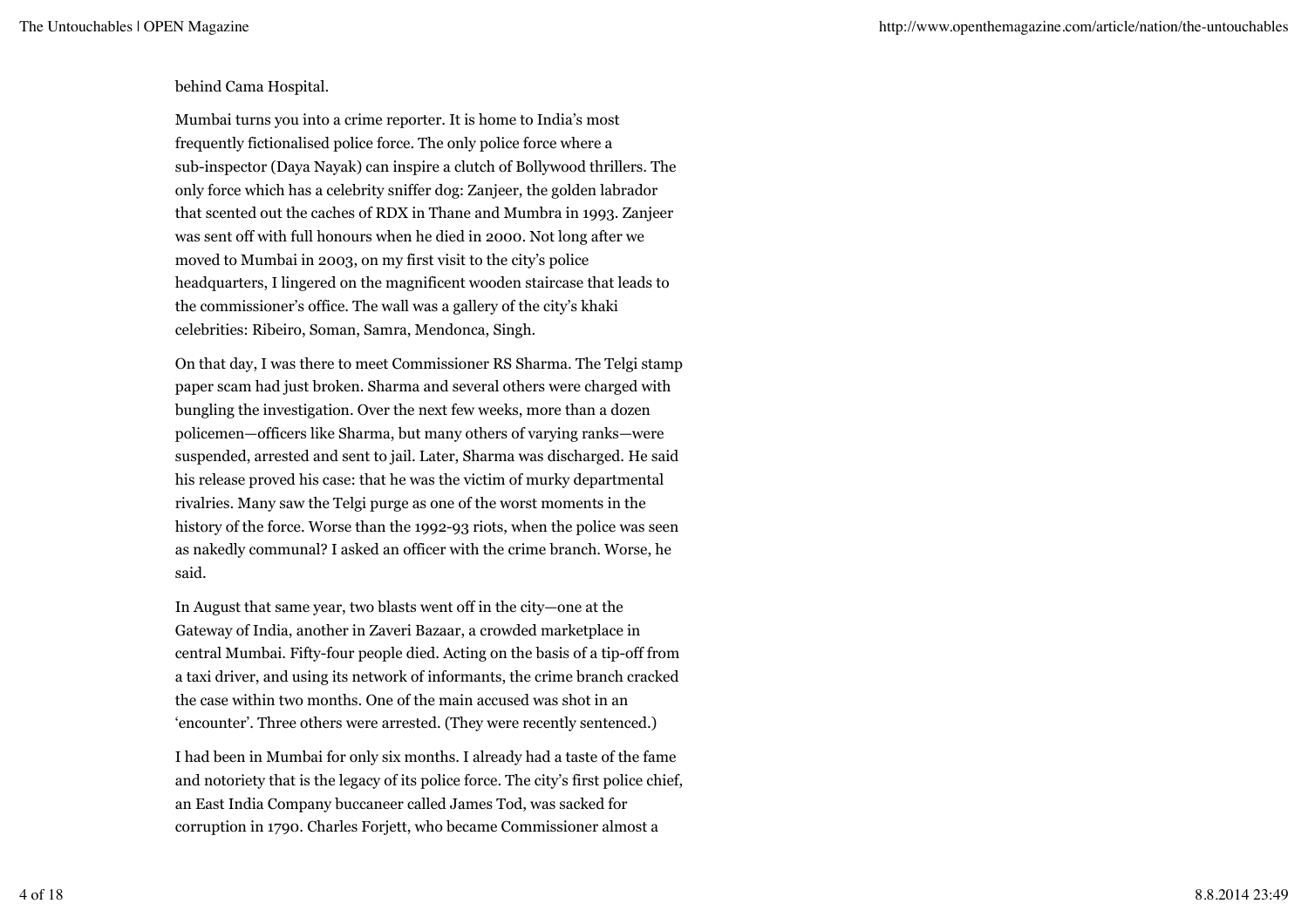### behind Cama Hospital.

Mumbai turns you into a crime reporter. It is home to India's most frequently fictionalised police force. The only police force where a sub-inspector (Daya Nayak) can inspire a clutch of Bollywood thrillers. The only force which has a celebrity sniffer dog: Zanjeer, the golden labrador that scented out the caches of RDX in Thane and Mumbra in 1993. Zanjeer was sent off with full honours when he died in 2000. Not long after we moved to Mumbai in 2003, on my first visit to the city's police headquarters, I lingered on the magnificent wooden staircase that leads to the commissioner's office. The wall was a gallery of the city's khaki celebrities: Ribeiro, Soman, Samra, Mendonca, Singh.

On that day, I was there to meet Commissioner RS Sharma. The Telgi stamp paper scam had just broken. Sharma and several others were charged with bungling the investigation. Over the next few weeks, more than a dozen policemen—officers like Sharma, but many others of varying ranks—were suspended, arrested and sent to jail. Later, Sharma was discharged. He said his release proved his case: that he was the victim of murky departmental rivalries. Many saw the Telgi purge as one of the worst moments in the history of the force. Worse than the 1992-93 riots, when the police was seen as nakedly communal? I asked an officer with the crime branch. Worse, he said.

In August that same year, two blasts went off in the city—one at the Gateway of India, another in Zaveri Bazaar, a crowded marketplace in central Mumbai. Fifty-four people died. Acting on the basis of a tip-off from a taxi driver, and using its network of informants, the crime branch cracked the case within two months. One of the main accused was shot in an 'encounter'. Three others were arrested. (They were recently sentenced.)

I had been in Mumbai for only six months. I already had a taste of the fame and notoriety that is the legacy of its police force. The city's first police chief, an East India Company buccaneer called James Tod, was sacked for corruption in 1790. Charles Forjett, who became Commissioner almost a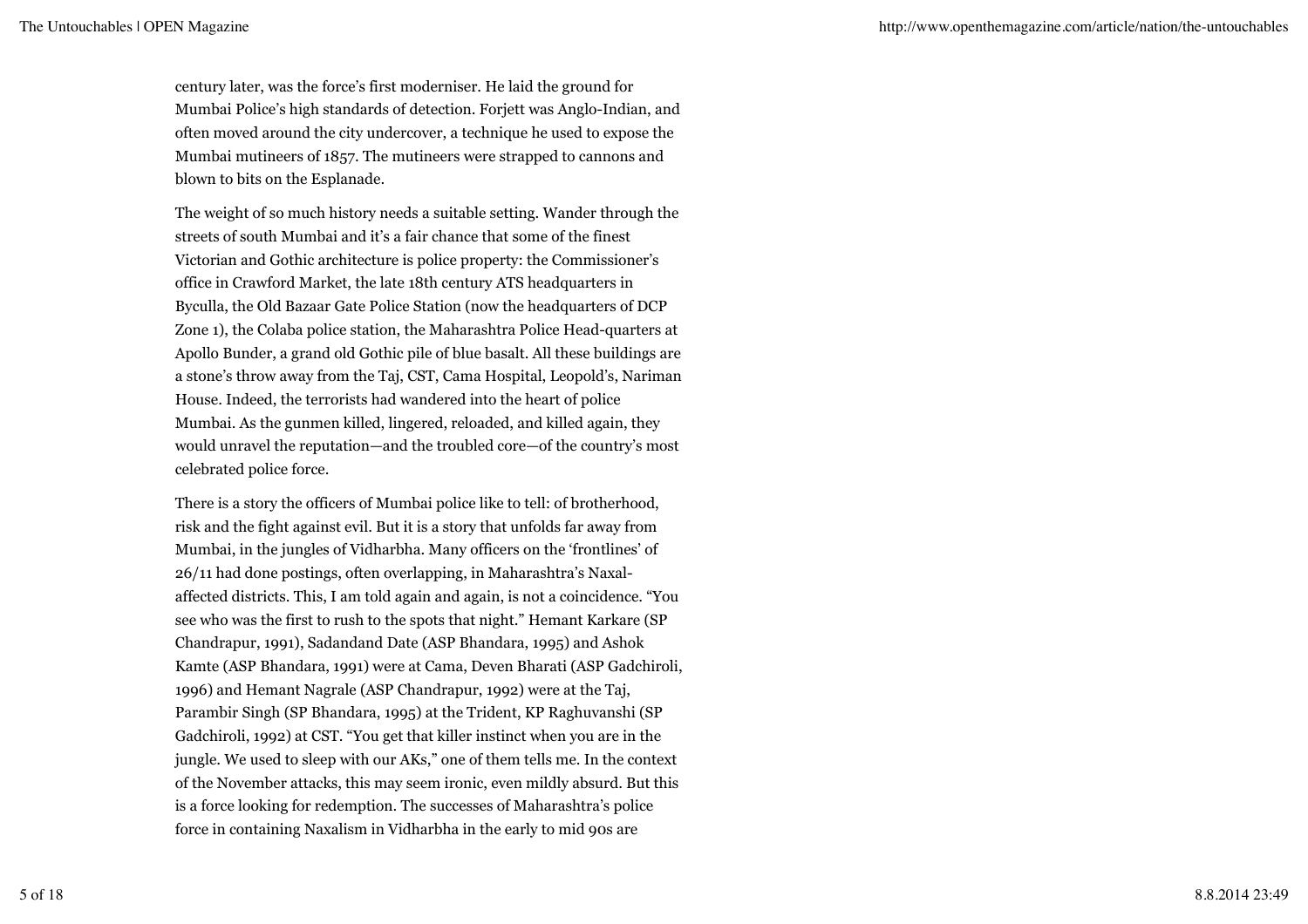century later, was the force's first moderniser. He laid the ground for Mumbai Police's high standards of detection. Forjett was Anglo-Indian, and often moved around the city undercover, a technique he used to expose the Mumbai mutineers of 1857. The mutineers were strapped to cannons and blown to bits on the Esplanade.

The weight of so much history needs a suitable setting. Wander through the streets of south Mumbai and it's a fair chance that some of the finest Victorian and Gothic architecture is police property: the Commissioner's office in Crawford Market, the late 18th century ATS headquarters in Byculla, the Old Bazaar Gate Police Station (now the headquarters of DCP Zone 1), the Colaba police station, the Maharashtra Police Head-quarters at Apollo Bunder, a grand old Gothic pile of blue basalt. All these buildings are a stone's throw away from the Taj, CST, Cama Hospital, Leopold's, Nariman House. Indeed, the terrorists had wandered into the heart of police Mumbai. As the gunmen killed, lingered, reloaded, and killed again, they would unravel the reputation—and the troubled core—of the country's most celebrated police force.

There is a story the officers of Mumbai police like to tell: of brotherhood, risk and the fight against evil. But it is a story that unfolds far away from Mumbai, in the jungles of Vidharbha. Many officers on the 'frontlines' of 26/11 had done postings, often overlapping, in Maharashtra's Naxalaffected districts. This, I am told again and again, is not a coincidence. "You see who was the first to rush to the spots that night." Hemant Karkare (SP Chandrapur, 1991), Sadandand Date (ASP Bhandara, 1995) and Ashok Kamte (ASP Bhandara, 1991) were at Cama, Deven Bharati (ASP Gadchiroli, 1996) and Hemant Nagrale (ASP Chandrapur, 1992) were at the Taj, Parambir Singh (SP Bhandara, 1995) at the Trident, KP Raghuvanshi (SP Gadchiroli, 1992) at CST. "You get that killer instinct when you are in the jungle. We used to sleep with our AKs," one of them tells me. In the context of the November attacks, this may seem ironic, even mildly absurd. But this is a force looking for redemption. The successes of Maharashtra's police force in containing Naxalism in Vidharbha in the early to mid 90s are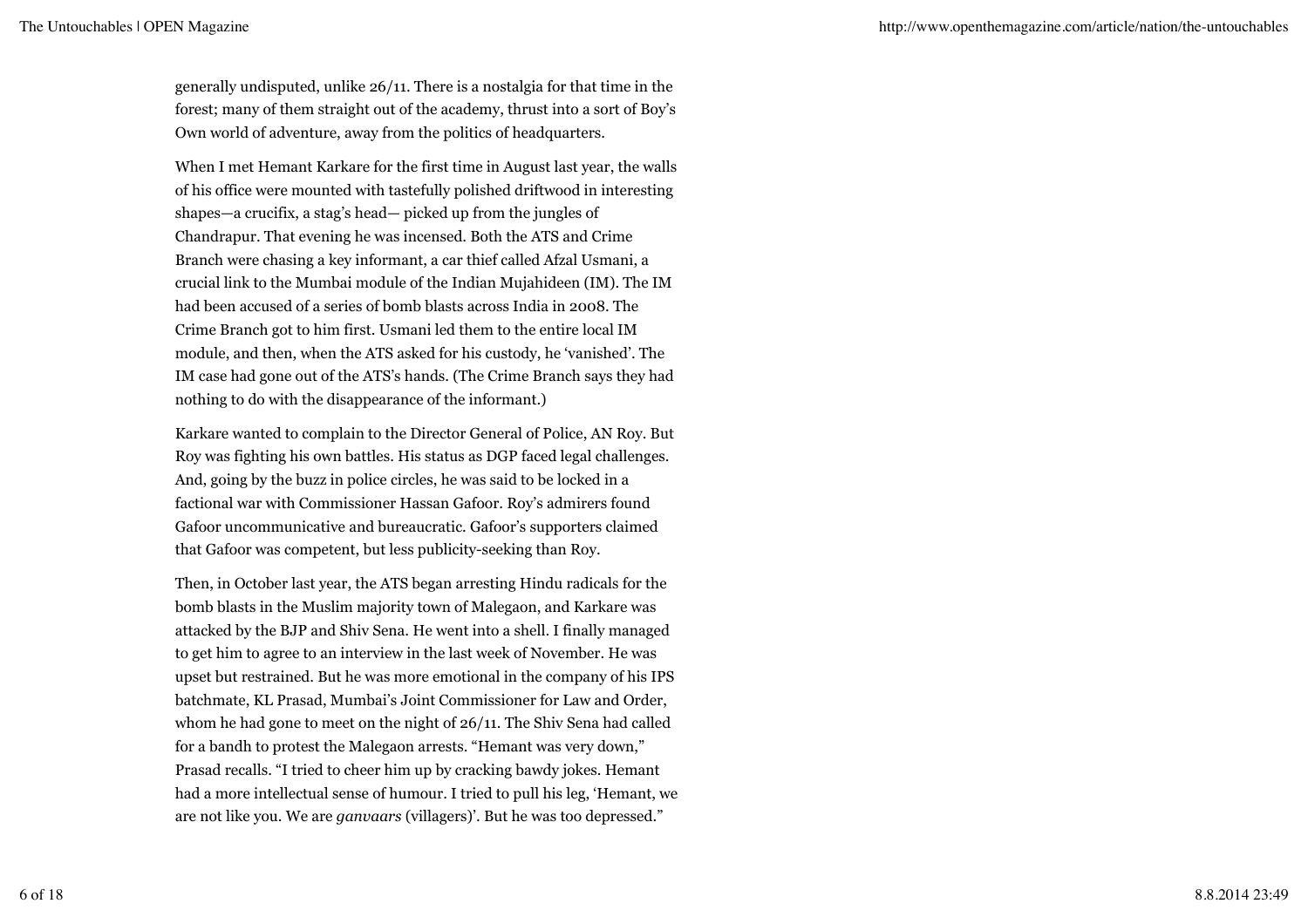generally undisputed, unlike 26/11. There is a nostalgia for that time in the forest; many of them straight out of the academy, thrust into a sort of Boy's Own world of adventure, away from the politics of headquarters.

When I met Hemant Karkare for the first time in August last year, the walls of his office were mounted with tastefully polished driftwood in interesting shapes—a crucifix, a stag's head— picked up from the jungles of Chandrapur. That evening he was incensed. Both the ATS and Crime Branch were chasing a key informant, a car thief called Afzal Usmani, a crucial link to the Mumbai module of the Indian Mujahideen (IM). The IM had been accused of a series of bomb blasts across India in 2008. The Crime Branch got to him first. Usmani led them to the entire local IM module, and then, when the ATS asked for his custody, he 'vanished'. The IM case had gone out of the ATS's hands. (The Crime Branch says they had nothing to do with the disappearance of the informant.)

Karkare wanted to complain to the Director General of Police, AN Roy. But Roy was fighting his own battles. His status as DGP faced legal challenges. And, going by the buzz in police circles, he was said to be locked in a factional war with Commissioner Hassan Gafoor. Roy's admirers found Gafoor uncommunicative and bureaucratic. Gafoor's supporters claimed that Gafoor was competent, but less publicity-seeking than Roy.

Then, in October last year, the ATS began arresting Hindu radicals for the bomb blasts in the Muslim majority town of Malegaon, and Karkare was attacked by the BJP and Shiv Sena. He went into a shell. I finally managed to get him to agree to an interview in the last week of November. He was upset but restrained. But he was more emotional in the company of his IPS batchmate, KL Prasad, Mumbai's Joint Commissioner for Law and Order, whom he had gone to meet on the night of 26/11. The Shiv Sena had called for a bandh to protest the Malegaon arrests. "Hemant was very down," Prasad recalls. "I tried to cheer him up by cracking bawdy jokes. Hemant had a more intellectual sense of humour. I tried to pull his leg, 'Hemant, we are not like you. We are *ganvaars* (villagers)'. But he was too depressed."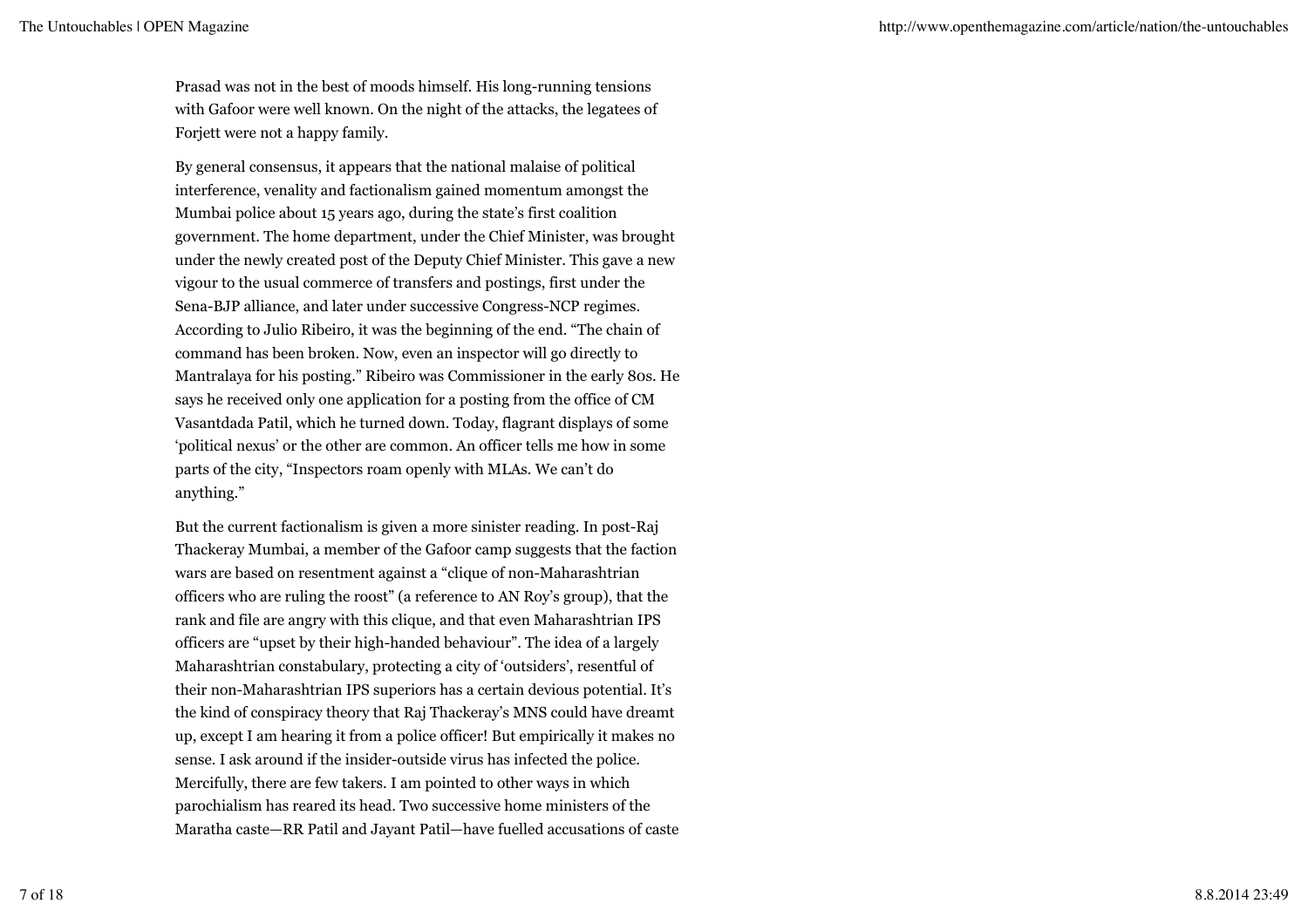Prasad was not in the best of moods himself. His long-running tensions with Gafoor were well known. On the night of the attacks, the legatees of Forjett were not a happy family.

By general consensus, it appears that the national malaise of political interference, venality and factionalism gained momentum amongst the Mumbai police about 15 years ago, during the state's first coalition government. The home department, under the Chief Minister, was brought under the newly created post of the Deputy Chief Minister. This gave a new vigour to the usual commerce of transfers and postings, first under the Sena-BJP alliance, and later under successive Congress-NCP regimes. According to Julio Ribeiro, it was the beginning of the end. "The chain of command has been broken. Now, even an inspector will go directly to Mantralaya for his posting." Ribeiro was Commissioner in the early 80s. He says he received only one application for a posting from the office of CM Vasantdada Patil, which he turned down. Today, flagrant displays of some 'political nexus' or the other are common. An officer tells me how in some parts of the city, "Inspectors roam openly with MLAs. We can't do anything."

But the current factionalism is given a more sinister reading. In post-Raj Thackeray Mumbai, a member of the Gafoor camp suggests that the faction wars are based on resentment against a "clique of non-Maharashtrian officers who are ruling the roost" (a reference to AN Roy's group), that the rank and file are angry with this clique, and that even Maharashtrian IPS officers are "upset by their high-handed behaviour". The idea of a largely Maharashtrian constabulary, protecting a city of 'outsiders', resentful of their non-Maharashtrian IPS superiors has a certain devious potential. It's the kind of conspiracy theory that Raj Thackeray's MNS could have dreamt up, except I am hearing it from a police officer! But empirically it makes no sense. I ask around if the insider-outside virus has infected the police. Mercifully, there are few takers. I am pointed to other ways in which parochialism has reared its head. Two successive home ministers of the Maratha caste—RR Patil and Jayant Patil—have fuelled accusations of caste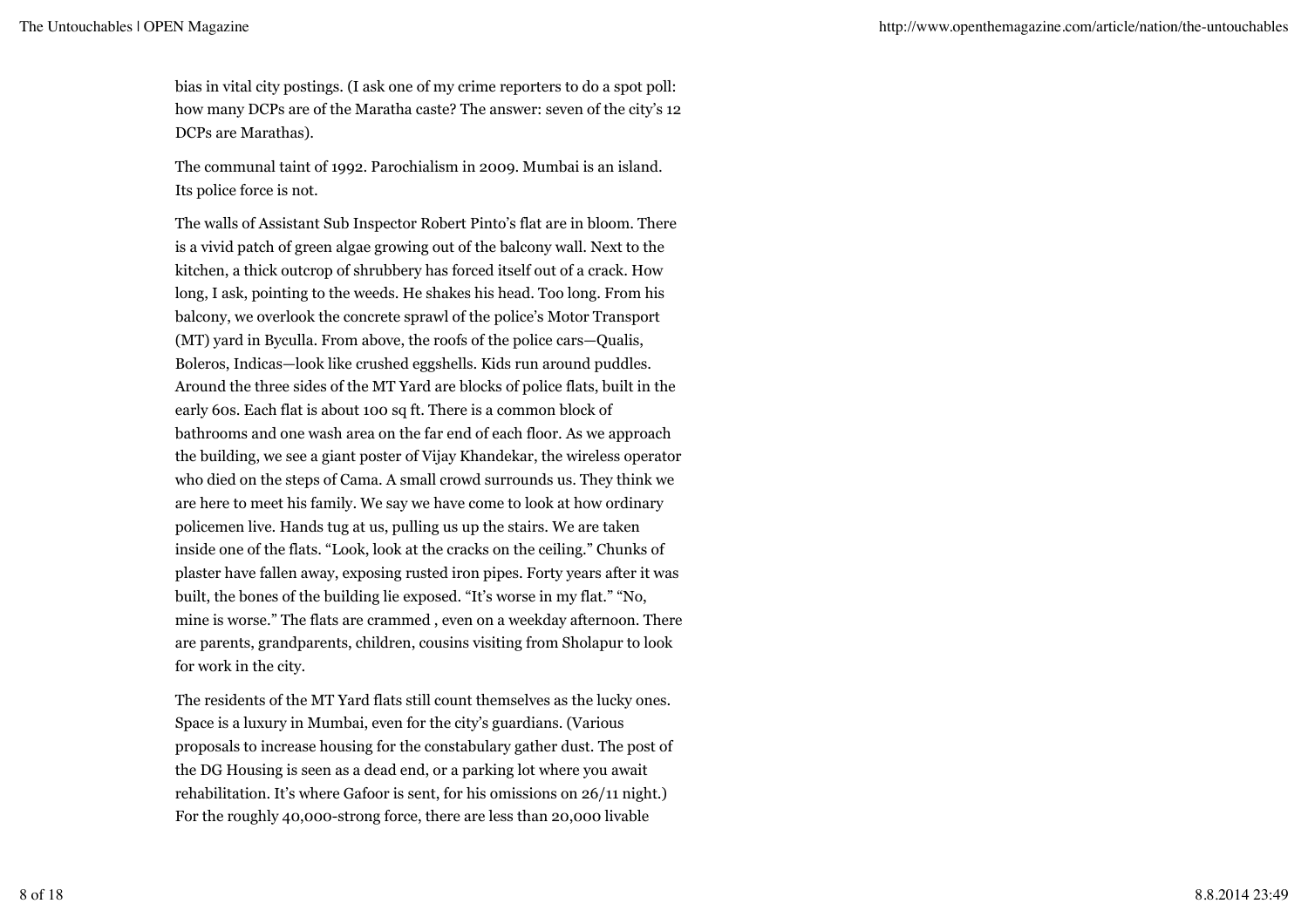bias in vital city postings. (I ask one of my crime reporters to do a spot poll: how many DCPs are of the Maratha caste? The answer: seven of the city's 12 DCPs are Marathas).

The communal taint of 1992. Parochialism in 2009. Mumbai is an island. Its police force is not.

The walls of Assistant Sub Inspector Robert Pinto's flat are in bloom. There is a vivid patch of green algae growing out of the balcony wall. Next to the kitchen, a thick outcrop of shrubbery has forced itself out of a crack. How long, I ask, pointing to the weeds. He shakes his head. Too long. From his balcony, we overlook the concrete sprawl of the police's Motor Transport (MT) yard in Byculla. From above, the roofs of the police cars—Qualis, Boleros, Indicas—look like crushed eggshells. Kids run around puddles. Around the three sides of the MT Yard are blocks of police flats, built in the early 60s. Each flat is about 100 sq ft. There is a common block of bathrooms and one wash area on the far end of each floor. As we approach the building, we see a giant poster of Vijay Khandekar, the wireless operator who died on the steps of Cama. A small crowd surrounds us. They think we are here to meet his family. We say we have come to look at how ordinary policemen live. Hands tug at us, pulling us up the stairs. We are taken inside one of the flats. "Look, look at the cracks on the ceiling." Chunks of plaster have fallen away, exposing rusted iron pipes. Forty years after it was built, the bones of the building lie exposed. "It's worse in my flat." "No, mine is worse." The flats are crammed , even on a weekday afternoon. There are parents, grandparents, children, cousins visiting from Sholapur to look for work in the city.

The residents of the MT Yard flats still count themselves as the lucky ones. Space is a luxury in Mumbai, even for the city's guardians. (Various proposals to increase housing for the constabulary gather dust. The post of the DG Housing is seen as a dead end, or a parking lot where you await rehabilitation. It's where Gafoor is sent, for his omissions on 26/11 night.) For the roughly 40,000-strong force, there are less than 20,000 livable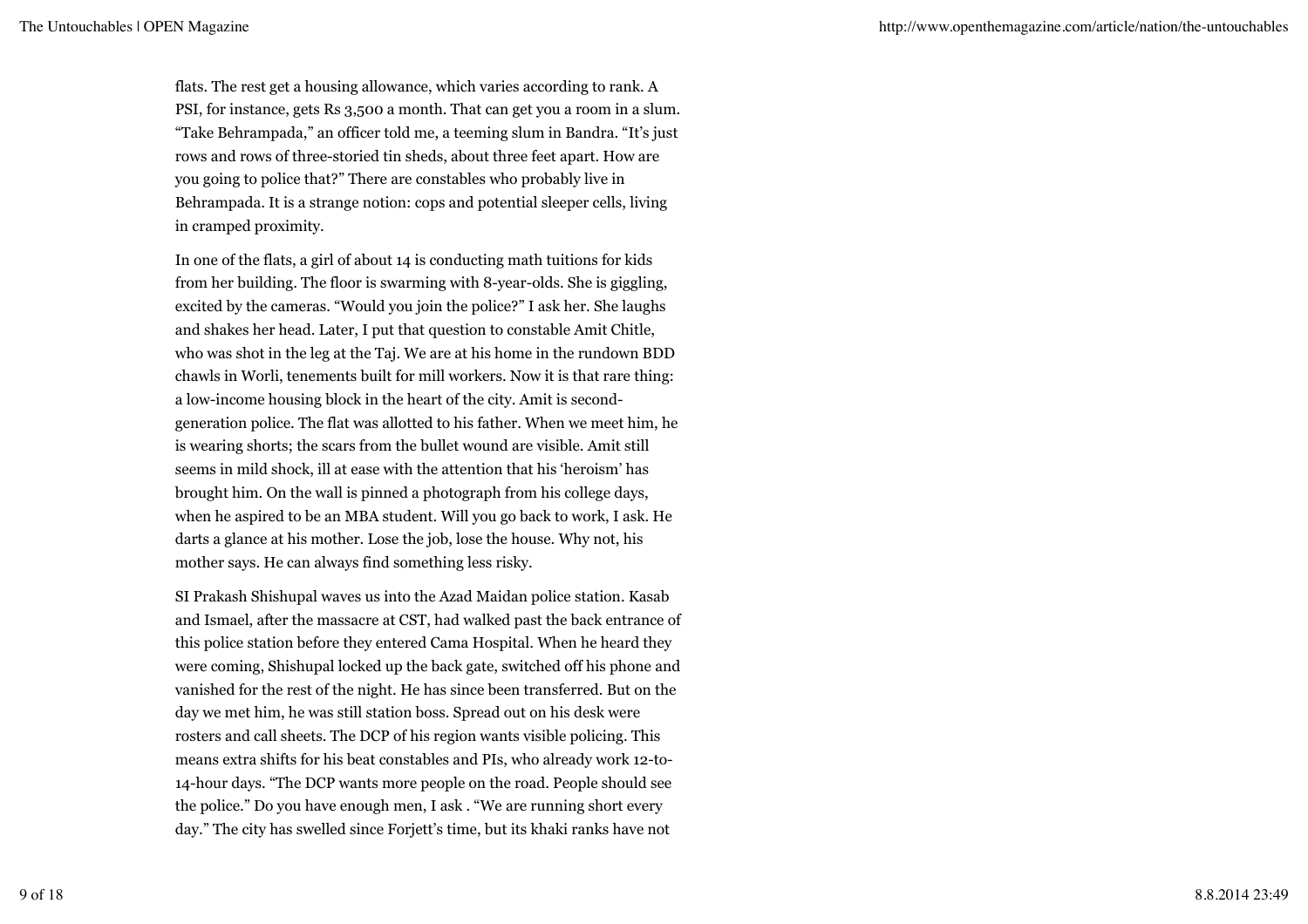flats. The rest get a housing allowance, which varies according to rank. A PSI, for instance, gets Rs 3,500 a month. That can get you a room in a slum. "Take Behrampada," an officer told me, a teeming slum in Bandra. "It's just rows and rows of three-storied tin sheds, about three feet apart. How are you going to police that?" There are constables who probably live in Behrampada. It is a strange notion: cops and potential sleeper cells, living in cramped proximity.

In one of the flats, a girl of about 14 is conducting math tuitions for kids from her building. The floor is swarming with 8-year-olds. She is giggling, excited by the cameras. "Would you join the police?" I ask her. She laughs and shakes her head. Later, I put that question to constable Amit Chitle, who was shot in the leg at the Taj. We are at his home in the rundown BDD chawls in Worli, tenements built for mill workers. Now it is that rare thing: a low-income housing block in the heart of the city. Amit is secondgeneration police. The flat was allotted to his father. When we meet him, he is wearing shorts; the scars from the bullet wound are visible. Amit still seems in mild shock, ill at ease with the attention that his 'heroism' has brought him. On the wall is pinned a photograph from his college days, when he aspired to be an MBA student. Will you go back to work, I ask. He darts a glance at his mother. Lose the job, lose the house. Why not, his mother says. He can always find something less risky.

SI Prakash Shishupal waves us into the Azad Maidan police station. Kasab and Ismael, after the massacre at CST, had walked past the back entrance of this police station before they entered Cama Hospital. When he heard they were coming, Shishupal locked up the back gate, switched off his phone and vanished for the rest of the night. He has since been transferred. But on the day we met him, he was still station boss. Spread out on his desk were rosters and call sheets. The DCP of his region wants visible policing. This means extra shifts for his beat constables and PIs, who already work 12-to-14-hour days. "The DCP wants more people on the road. People should see the police." Do you have enough men, I ask . "We are running short every day." The city has swelled since Forjett's time, but its khaki ranks have not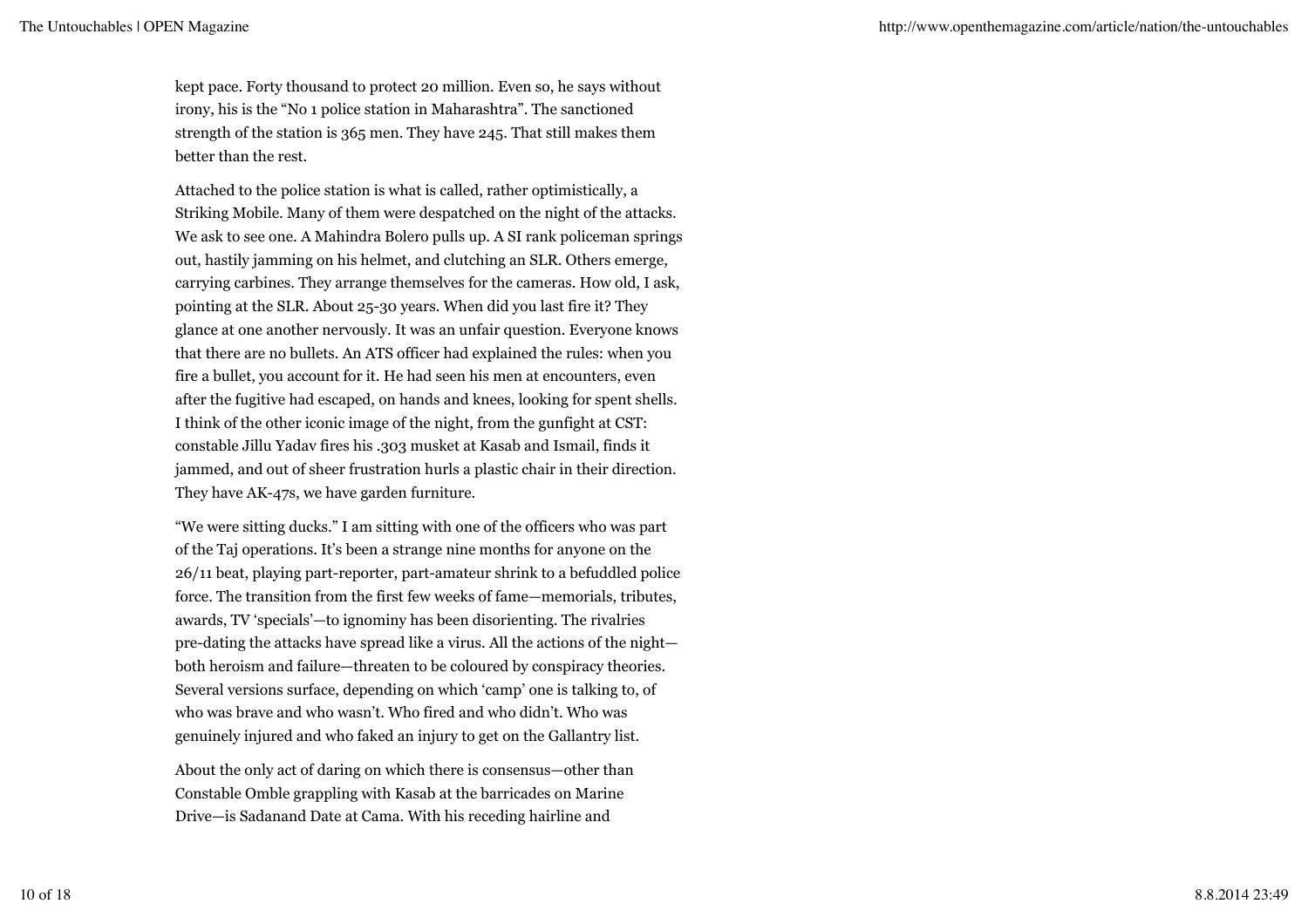kept pace. Forty thousand to protect 20 million. Even so, he says without irony, his is the "No 1 police station in Maharashtra". The sanctioned strength of the station is 365 men. They have 245. That still makes them better than the rest.

Attached to the police station is what is called, rather optimistically, a Striking Mobile. Many of them were despatched on the night of the attacks. We ask to see one. A Mahindra Bolero pulls up. A SI rank policeman springs out, hastily jamming on his helmet, and clutching an SLR. Others emerge, carrying carbines. They arrange themselves for the cameras. How old, I ask, pointing at the SLR. About 25-30 years. When did you last fire it? They glance at one another nervously. It was an unfair question. Everyone knows that there are no bullets. An ATS officer had explained the rules: when you fire a bullet, you account for it. He had seen his men at encounters, even after the fugitive had escaped, on hands and knees, looking for spent shells. I think of the other iconic image of the night, from the gunfight at CST: constable Jillu Yadav fires his .303 musket at Kasab and Ismail, finds it jammed, and out of sheer frustration hurls a plastic chair in their direction. They have AK-47s, we have garden furniture.

"We were sitting ducks." I am sitting with one of the officers who was part of the Taj operations. It's been a strange nine months for anyone on the 26/11 beat, playing part-reporter, part-amateur shrink to a befuddled police force. The transition from the first few weeks of fame—memorials, tributes, awards, TV 'specials'—to ignominy has been disorienting. The rivalries pre-dating the attacks have spread like a virus. All the actions of the night both heroism and failure—threaten to be coloured by conspiracy theories. Several versions surface, depending on which 'camp' one is talking to, of who was brave and who wasn't. Who fired and who didn't. Who was genuinely injured and who faked an injury to get on the Gallantry list.

About the only act of daring on which there is consensus—other than Constable Omble grappling with Kasab at the barricades on Marine Drive—is Sadanand Date at Cama. With his receding hairline and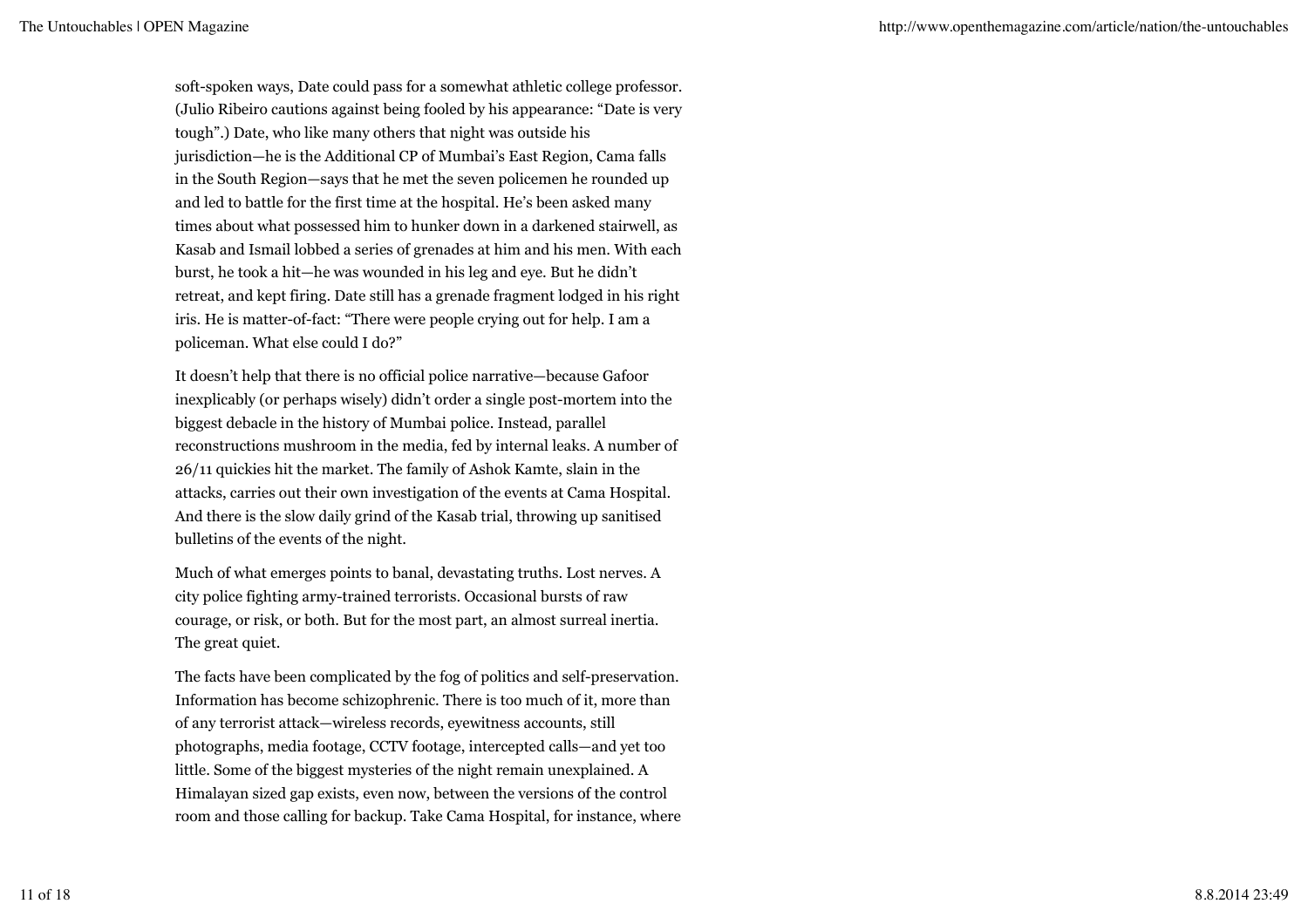soft-spoken ways, Date could pass for a somewhat athletic college professor. (Julio Ribeiro cautions against being fooled by his appearance: "Date is very tough".) Date, who like many others that night was outside his jurisdiction—he is the Additional CP of Mumbai's East Region, Cama falls in the South Region—says that he met the seven policemen he rounded up and led to battle for the first time at the hospital. He's been asked many times about what possessed him to hunker down in a darkened stairwell, as Kasab and Ismail lobbed a series of grenades at him and his men. With each burst, he took a hit—he was wounded in his leg and eye. But he didn't retreat, and kept firing. Date still has a grenade fragment lodged in his right iris. He is matter-of-fact: "There were people crying out for help. I am a policeman. What else could I do?"

It doesn't help that there is no official police narrative—because Gafoor inexplicably (or perhaps wisely) didn't order a single post-mortem into the biggest debacle in the history of Mumbai police. Instead, parallel reconstructions mushroom in the media, fed by internal leaks. A number of 26/11 quickies hit the market. The family of Ashok Kamte, slain in the attacks, carries out their own investigation of the events at Cama Hospital. And there is the slow daily grind of the Kasab trial, throwing up sanitised bulletins of the events of the night.

Much of what emerges points to banal, devastating truths. Lost nerves. A city police fighting army-trained terrorists. Occasional bursts of raw courage, or risk, or both. But for the most part, an almost surreal inertia. The great quiet.

The facts have been complicated by the fog of politics and self-preservation. Information has become schizophrenic. There is too much of it, more than of any terrorist attack—wireless records, eyewitness accounts, still photographs, media footage, CCTV footage, intercepted calls—and yet too little. Some of the biggest mysteries of the night remain unexplained. A Himalayan sized gap exists, even now, between the versions of the control room and those calling for backup. Take Cama Hospital, for instance, where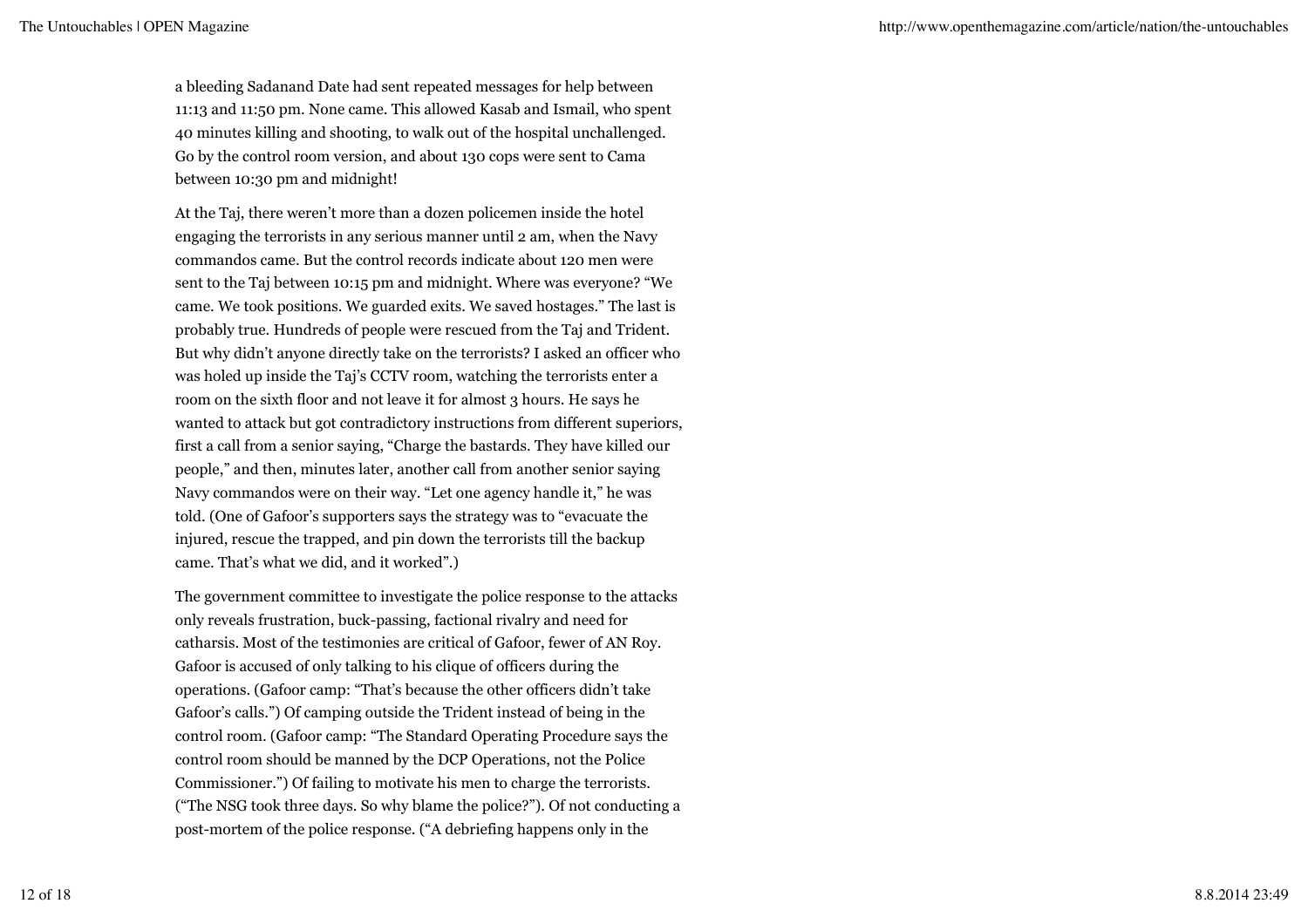a bleeding Sadanand Date had sent repeated messages for help between 11:13 and 11:50 pm. None came. This allowed Kasab and Ismail, who spent 40 minutes killing and shooting, to walk out of the hospital unchallenged. Go by the control room version, and about 130 cops were sent to Cama between 10:30 pm and midnight!

At the Taj, there weren't more than a dozen policemen inside the hotel engaging the terrorists in any serious manner until 2 am, when the Navy commandos came. But the control records indicate about 120 men were sent to the Taj between 10:15 pm and midnight. Where was everyone? "We came. We took positions. We guarded exits. We saved hostages." The last is probably true. Hundreds of people were rescued from the Taj and Trident. But why didn't anyone directly take on the terrorists? I asked an officer who was holed up inside the Taj's CCTV room, watching the terrorists enter a room on the sixth floor and not leave it for almost 3 hours. He says he wanted to attack but got contradictory instructions from different superiors, first a call from a senior saying, "Charge the bastards. They have killed our people," and then, minutes later, another call from another senior saying Navy commandos were on their way. "Let one agency handle it," he was told. (One of Gafoor's supporters says the strategy was to "evacuate the injured, rescue the trapped, and pin down the terrorists till the backup came. That's what we did, and it worked".)

The government committee to investigate the police response to the attacks only reveals frustration, buck-passing, factional rivalry and need for catharsis. Most of the testimonies are critical of Gafoor, fewer of AN Roy. Gafoor is accused of only talking to his clique of officers during the operations. (Gafoor camp: "That's because the other officers didn't take Gafoor's calls.") Of camping outside the Trident instead of being in the control room. (Gafoor camp: "The Standard Operating Procedure says the control room should be manned by the DCP Operations, not the Police Commissioner.") Of failing to motivate his men to charge the terrorists. ("The NSG took three days. So why blame the police?"). Of not conducting a post-mortem of the police response. ("A debriefing happens only in the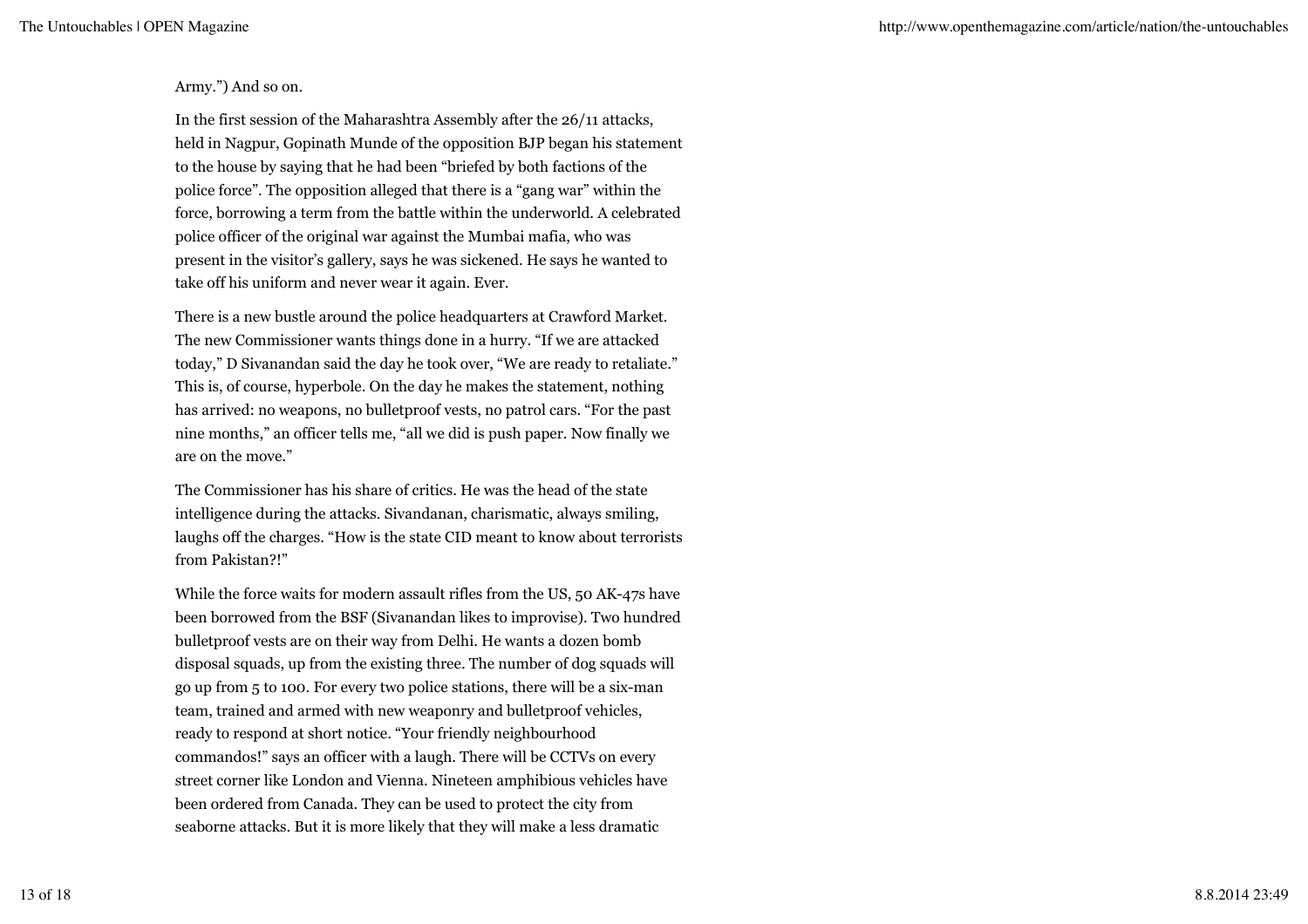### Army.") And so on.

In the first session of the Maharashtra Assembly after the 26/11 attacks, held in Nagpur, Gopinath Munde of the opposition BJP began his statement to the house by saying that he had been "briefed by both factions of the police force". The opposition alleged that there is a "gang war" within the force, borrowing a term from the battle within the underworld. A celebrated police officer of the original war against the Mumbai mafia, who was present in the visitor's gallery, says he was sickened. He says he wanted to take off his uniform and never wear it again. Ever.

There is a new bustle around the police headquarters at Crawford Market. The new Commissioner wants things done in a hurry. "If we are attacked today," D Sivanandan said the day he took over, "We are ready to retaliate." This is, of course, hyperbole. On the day he makes the statement, nothing has arrived: no weapons, no bulletproof vests, no patrol cars. "For the past nine months," an officer tells me, "all we did is push paper. Now finally we are on the move."

The Commissioner has his share of critics. He was the head of the state intelligence during the attacks. Sivandanan, charismatic, always smiling, laughs off the charges. "How is the state CID meant to know about terrorists from Pakistan?!"

While the force waits for modern assault rifles from the US, 50 AK-47s have been borrowed from the BSF (Sivanandan likes to improvise). Two hundred bulletproof vests are on their way from Delhi. He wants a dozen bomb disposal squads, up from the existing three. The number of dog squads will go up from 5 to 100. For every two police stations, there will be a six-man team, trained and armed with new weaponry and bulletproof vehicles, ready to respond at short notice. "Your friendly neighbourhood commandos!" says an officer with a laugh. There will be CCTVs on every street corner like London and Vienna. Nineteen amphibious vehicles have been ordered from Canada. They can be used to protect the city from seaborne attacks. But it is more likely that they will make a less dramatic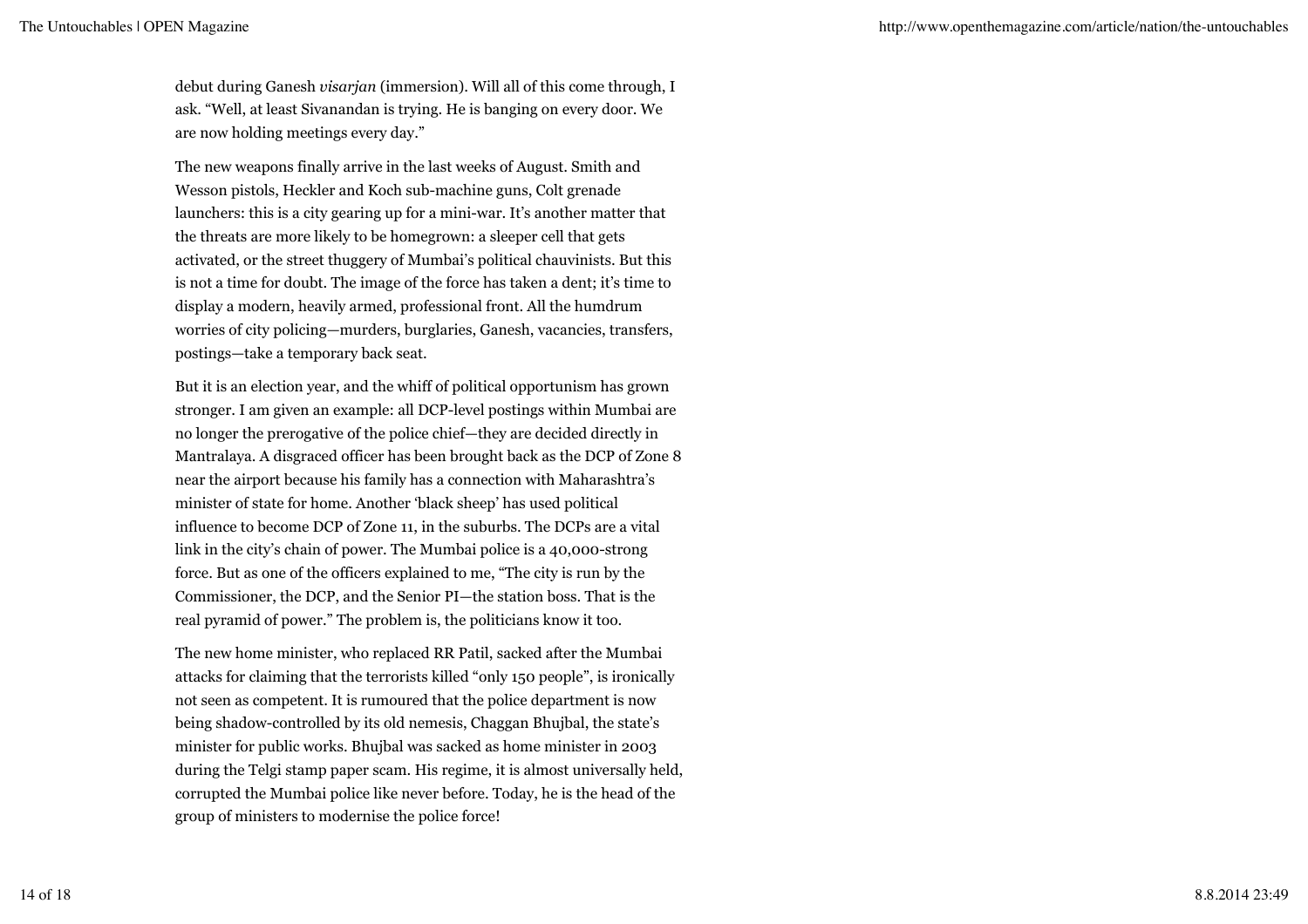debut during Ganesh *visarjan* (immersion). Will all of this come through, I ask. "Well, at least Sivanandan is trying. He is banging on every door. We are now holding meetings every day."

The new weapons finally arrive in the last weeks of August. Smith and Wesson pistols, Heckler and Koch sub-machine guns, Colt grenade launchers: this is a city gearing up for a mini-war. It's another matter that the threats are more likely to be homegrown: a sleeper cell that gets activated, or the street thuggery of Mumbai's political chauvinists. But this is not a time for doubt. The image of the force has taken a dent; it's time to display a modern, heavily armed, professional front. All the humdrum worries of city policing—murders, burglaries, Ganesh, vacancies, transfers, postings—take a temporary back seat.

But it is an election year, and the whiff of political opportunism has grown stronger. I am given an example: all DCP-level postings within Mumbai are no longer the prerogative of the police chief—they are decided directly in Mantralaya. A disgraced officer has been brought back as the DCP of Zone 8 near the airport because his family has a connection with Maharashtra's minister of state for home. Another 'black sheep' has used political influence to become DCP of Zone 11, in the suburbs. The DCPs are a vital link in the city's chain of power. The Mumbai police is a 40,000-strong force. But as one of the officers explained to me, "The city is run by the Commissioner, the DCP, and the Senior PI—the station boss. That is the real pyramid of power." The problem is, the politicians know it too.

The new home minister, who replaced RR Patil, sacked after the Mumbai attacks for claiming that the terrorists killed "only 150 people", is ironically not seen as competent. It is rumoured that the police department is now being shadow-controlled by its old nemesis, Chaggan Bhujbal, the state's minister for public works. Bhujbal was sacked as home minister in 2003 during the Telgi stamp paper scam. His regime, it is almost universally held, corrupted the Mumbai police like never before. Today, he is the head of the group of ministers to modernise the police force!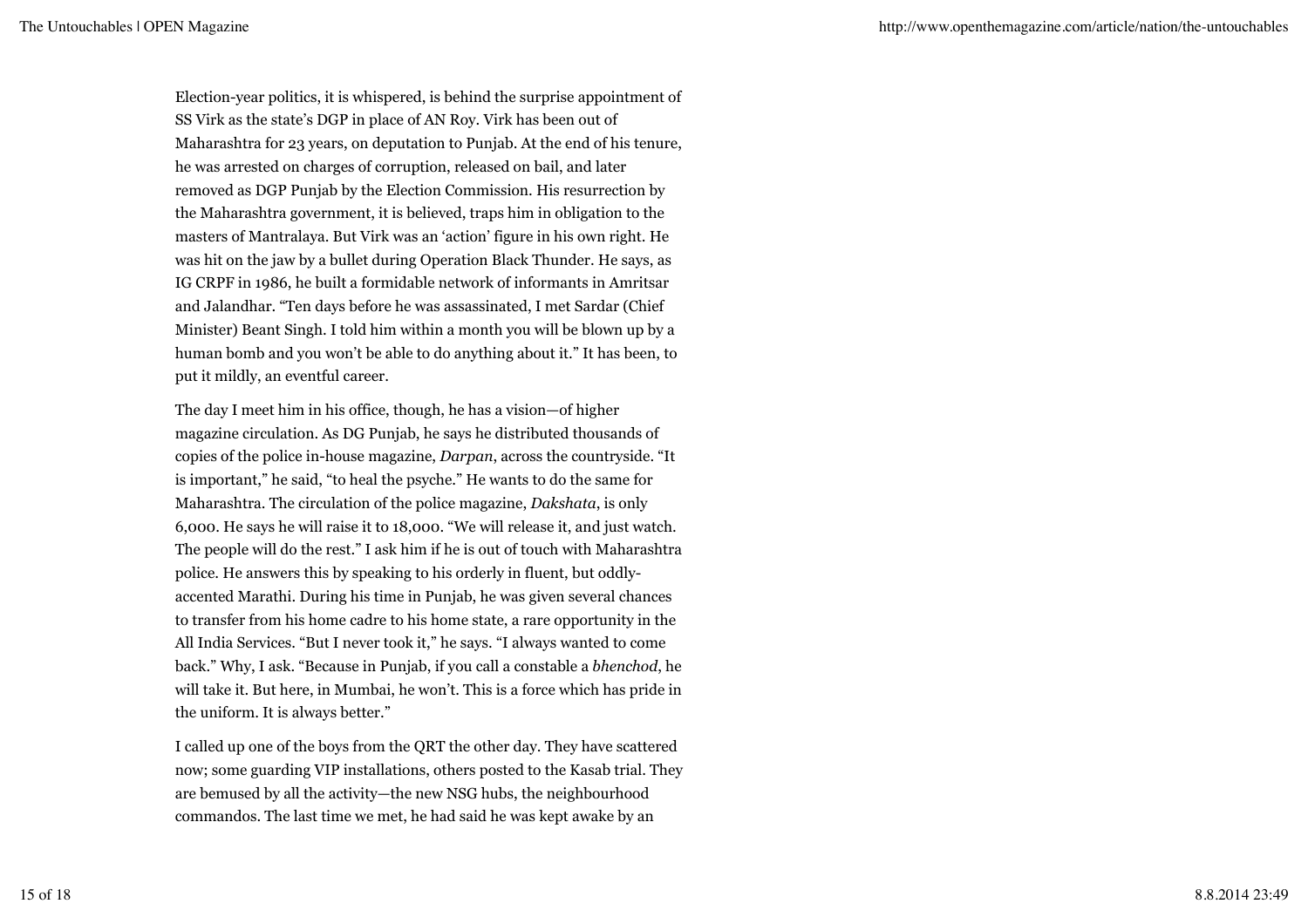Election-year politics, it is whispered, is behind the surprise appointment of SS Virk as the state's DGP in place of AN Roy. Virk has been out of Maharashtra for 23 years, on deputation to Punjab. At the end of his tenure, he was arrested on charges of corruption, released on bail, and later removed as DGP Punjab by the Election Commission. His resurrection by the Maharashtra government, it is believed, traps him in obligation to the masters of Mantralaya. But Virk was an 'action' figure in his own right. He was hit on the jaw by a bullet during Operation Black Thunder. He says, as IG CRPF in 1986, he built a formidable network of informants in Amritsar and Jalandhar. "Ten days before he was assassinated, I met Sardar (Chief Minister) Beant Singh. I told him within a month you will be blown up by a human bomb and you won't be able to do anything about it." It has been, to put it mildly, an eventful career.

The day I meet him in his office, though, he has a vision—of higher magazine circulation. As DG Punjab, he says he distributed thousands of copies of the police in-house magazine, *Darpan*, across the countryside. "It is important," he said, "to heal the psyche." He wants to do the same for Maharashtra. The circulation of the police magazine, *Dakshata*, is only 6,000. He says he will raise it to 18,000. "We will release it, and just watch. The people will do the rest." I ask him if he is out of touch with Maharashtra police. He answers this by speaking to his orderly in fluent, but oddlyaccented Marathi. During his time in Punjab, he was given several chances to transfer from his home cadre to his home state, a rare opportunity in the All India Services. "But I never took it," he says. "I always wanted to come back." Why, I ask. "Because in Punjab, if you call a constable a *bhenchod*, he will take it. But here, in Mumbai, he won't. This is a force which has pride in the uniform. It is always better."

I called up one of the boys from the QRT the other day. They have scattered now; some guarding VIP installations, others posted to the Kasab trial. They are bemused by all the activity—the new NSG hubs, the neighbourhood commandos. The last time we met, he had said he was kept awake by an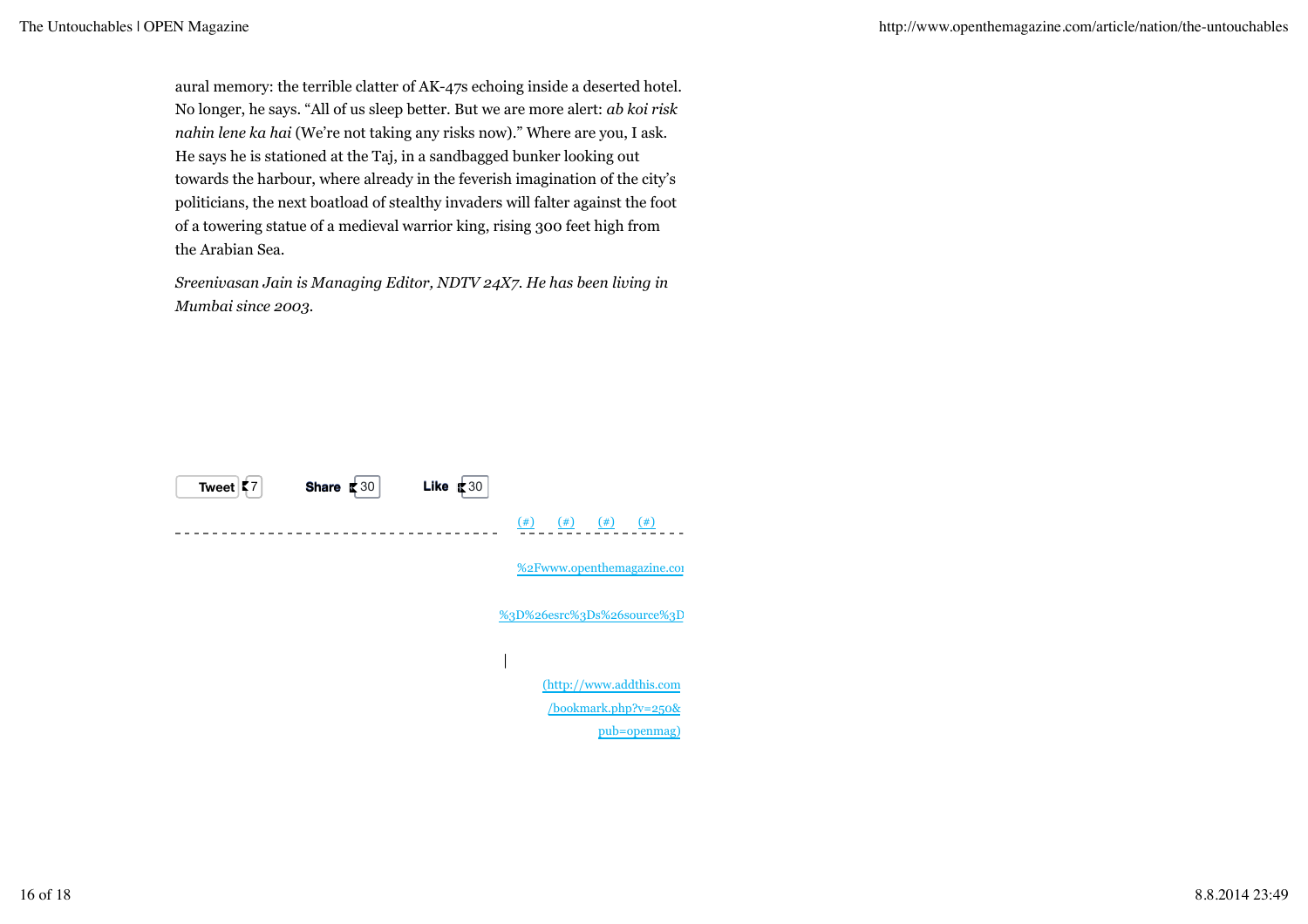aural memory: the terrible clatter of AK-47s echoing inside a deserted hotel. No longer, he says. "All of us sleep better. But we are more alert: *ab koi risk nahin lene ka hai* (We're not taking any risks now)." Where are you, I ask. He says he is stationed at the Taj, in a sandbagged bunker looking out towards the harbour, where already in the feverish imagination of the city's politicians, the next boatload of stealthy invaders will falter against the foot of a towering statue of a medieval warrior king, rising 300 feet high from the Arabian Sea.

*Sreenivasan Jain is Managing Editor, NDTV 24X7. He has been living in Mumbai since 2003.*

| Tweet   7 | <b>Share</b> $\leq 30$ | Like $\pm 30$                          |
|-----------|------------------------|----------------------------------------|
|           |                        | $^{(+)}$<br>$(\#)$<br>$(\#)$<br>$(\#)$ |
|           |                        | %2Fwww.openthemagazine.com             |
|           |                        | %3D%26esrc%3Ds%26source%3D             |
|           |                        |                                        |
|           |                        | (http://www.addthis.com                |
|           |                        | $\text{/bookmark.php?v=250&}$          |
|           |                        | pub=openmag)                           |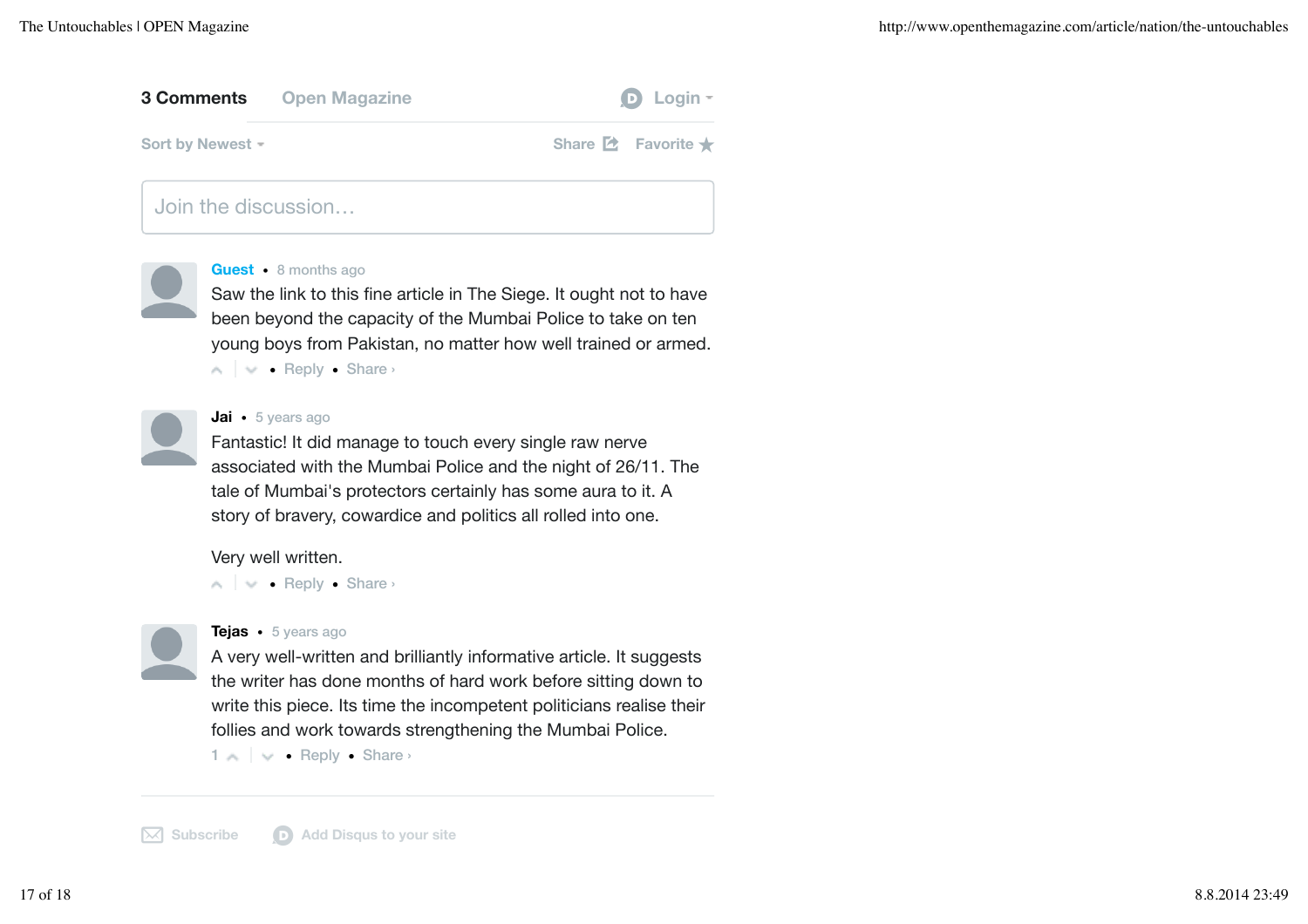# **3 Comments Open Magazine diagrams D** Login **r**

**Sort by Newest =** 

**Share 2** Favorite ★

Join the discussion…



### **Guest** • 8 months ago

Saw the link to this fine article in The Siege. It ought not to have been beyond the capacity of the Mumbai Police to take on ten young boys from Pakistan, no matter how well trained or armed.

• Reply • Share ›



### **Jai** • 5 years ago

Fantastic! It did manage to touch every single raw nerve associated with the Mumbai Police and the night of 26/11. The tale of Mumbai's protectors certainly has some aura to it. A story of bravery, cowardice and politics all rolled into one.

Very well written.

• Reply • Share ›

**Tejas** • 5 years ago

A very well-written and brilliantly informative article. It suggests the writer has done months of hard work before sitting down to write this piece. Its time the incompetent politicians realise their follies and work towards strengthening the Mumbai Police.

1  $\land$  |  $\lor$  • Reply • Share ›